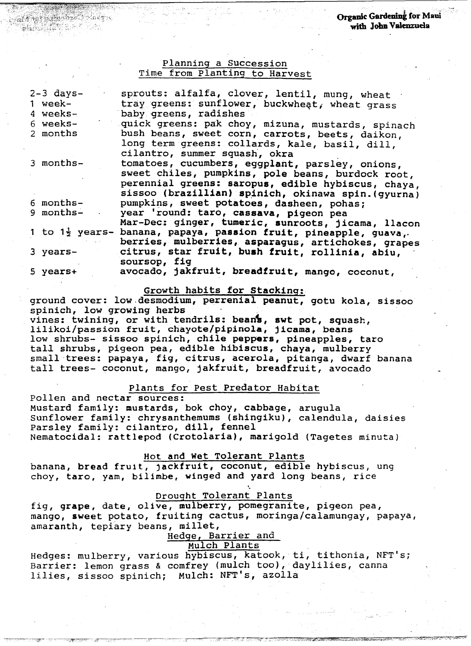## Planning a Succession Time from Planting to Harvest

| $2-3$ days-                | sprouts: alfalfa, clover, lentil, mung, wheat       |
|----------------------------|-----------------------------------------------------|
| 1 week-                    | tray greens: sunflower, buckwheat, wheat grass      |
| 4 weeks-                   | baby greens, radishes                               |
| 6 weeks-                   | quick greens: pak choy, mizuna, mustards, spinach   |
| 2 months                   | bush beans, sweet corn, carrots, beets, daikon,     |
|                            | long term greens: collards, kale, basil, dill,      |
|                            | cilantro, summer squash, okra                       |
| 3 months-                  | tomatoes, cucumbers, eggplant, parsley, onions,     |
|                            | sweet chiles, pumpkins, pole beans, burdock root,   |
|                            | perennial greens: saropus, edible hybiscus, chaya,  |
|                            | sissoo (brazillian) spinich, okinawa spin. (gyurna) |
| 6 months-                  | pumpkins, sweet potatoes, dasheen, pohas;           |
| 9 months-                  | year 'round: taro, cassava, pigeon pea              |
|                            | Mar-Dec: ginger, tumeric, sunroots, jicama, llacon  |
| 1 to $1\frac{1}{2}$ years- | banana, papaya, passion fruit, pineapple, guava,    |
|                            | berries, mulberries, asparagus, artichokes, grapes  |
| 3 years-                   | citrus, star fruit, bush fruit, rollinia, abiu,     |
|                            | soursop, fig                                        |
| 5 years+                   | avocado, jakfruit, breadfruit, mango, coconut,      |
|                            |                                                     |

#### Growth habits for stacking:

ground cover: low.desmodium, perrenial peanut, gotu kola, sissoo spinich, low growing herbs vines: twining, or with tendrils: beans, swt pot, squash, lilikoi/passion fruit, chayote/pipinola, jicama, beans low shrubs- sissoo spinich, chile peppers, pineapples, taro tall shrubs, pigeon pea, edible hibiscus, chaya, mulberry small trees: papaya, fig, citrus, acerola, pitanga, dwarf banana tall trees- coconut, mango, jakfruit, breadfruit, avocado

### Plants for Pest Predator Habitat

Pollen and nectar sources:

Mustard family: mustards, bok choy, cabbage, arugula Sunflower family: chrysanthemums (shingiku), calendula, daisies Parsley family: cilantro, dill, fennel Nematocidal: rattlepod (Crotolaria), marigold (Tagetes minuta)

## Hot and Wet Tolerant Plants

banana, bread fruit, jackfruit, coconut, edible hybiscus, ung choy, taro, yam, bilimbe, winged and yard long beans, rice

### Orouqht Tolerant Plants

'.

fig, grape, date, olive, mulberry, pomegranite, pigeon pea, mango, sweet potato, fruiting cactus, moringa/calamungay, papaya, amaranth, tepiary beans, millet,

## Hedge, Barrier and

# Mulch Plants

Hedges: mulberry, various hybiscus, katook, ti, tithonia, NFT's; Barrier: lemon grass & comfrey (mulch too), daylilies, canna lilies, sissoo spinich; Mulch: NFT's, azolla